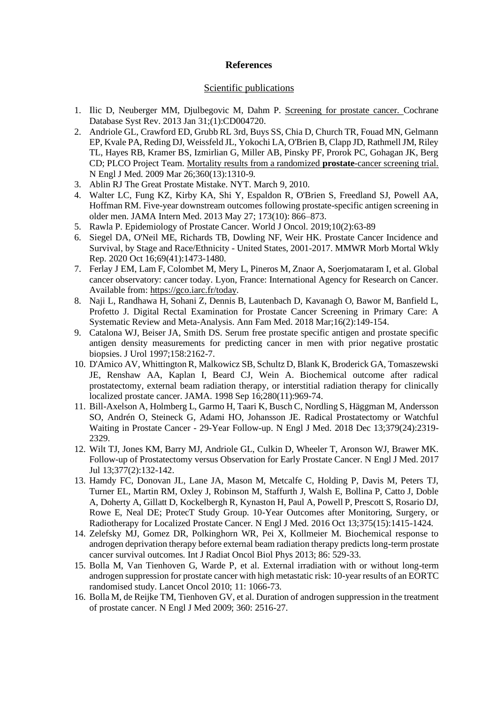# **References**

### Scientific publications

- 1. Ilic D, Neuberger MM, Djulbegovic M, Dahm P. [Screening for prostate cancer. C](https://pubmed.ncbi.nlm.nih.gov/23440794/)ochrane Database Syst Rev. 2013 Jan 31;(1):CD004720.
- 2. Andriole GL, Crawford ED, Grubb RL 3rd, Buys SS, Chia D, Church TR, Fouad MN, Gelmann EP, Kvale PA, Reding DJ, Weissfeld JL, Yokochi LA, O'Brien B, Clapp JD, Rathmell JM, Riley TL, Hayes RB, Kramer BS, Izmirlian G, Miller AB, Pinsky PF, Prorok PC, Gohagan JK, Berg CD; PLCO Project Team. [Mortality results from a randomized](https://pubmed.ncbi.nlm.nih.gov/19297565/) **prostate**-cancer screening trial. N Engl J Med. 2009 Mar 26;360(13):1310-9.
- 3. Ablin RJ The Great Prostate Mistake. NYT. March 9, 2010.
- 4. Walter LC, Fung KZ, Kirby KA, Shi Y, Espaldon R, O'Brien S, Freedland SJ, Powell AA, Hoffman RM. Five-year downstream outcomes following prostate-specific antigen screening in older men. JAMA Intern Med. 2013 May 27; 173(10): 866–873.
- 5. Rawla P. Epidemiology of Prostate Cancer. World J Oncol. 2019;10(2):63-89
- 6. Siegel DA, O'Neil ME, Richards TB, Dowling NF, Weir HK. Prostate Cancer Incidence and Survival, by Stage and Race/Ethnicity - United States, 2001-2017. MMWR Morb Mortal Wkly Rep. 2020 Oct 16;69(41):1473-1480.
- 7. Ferlay J EM, Lam F, Colombet M, Mery L, Pineros M, Znaor A, Soerjomataram I, et al. Global cancer observatory: cancer today. Lyon, France: International Agency for Research on Cancer. Available from: [https://gco.iarc.fr/today.](https://gco.iarc.fr/today)
- 8. Naji L, Randhawa H, Sohani Z, Dennis B, Lautenbach D, Kavanagh O, Bawor M, Banfield L, Profetto J. Digital Rectal Examination for Prostate Cancer Screening in Primary Care: A Systematic Review and Meta-Analysis. Ann Fam Med. 2018 Mar;16(2):149-154.
- 9. Catalona WJ, Beiser JA, Smith DS. Serum free prostate specific antigen and prostate specific antigen density measurements for predicting cancer in men with prior negative prostatic biopsies. J Urol 1997;158:2162-7.
- 10. D'Amico AV, Whittington R, Malkowicz SB, Schultz D, Blank K, Broderick GA, Tomaszewski JE, Renshaw AA, Kaplan I, Beard CJ, Wein A. Biochemical outcome after radical prostatectomy, external beam radiation therapy, or interstitial radiation therapy for clinically localized prostate cancer. JAMA. 1998 Sep 16;280(11):969-74.
- 11. Bill-Axelson A, Holmberg L, Garmo H, Taari K, Busch C, Nordling S, Häggman M, Andersson SO, Andrén O, Steineck G, Adami HO, Johansson JE. Radical Prostatectomy or Watchful Waiting in Prostate Cancer - 29-Year Follow-up. N Engl J Med. 2018 Dec 13;379(24):2319- 2329.
- 12. Wilt TJ, Jones KM, Barry MJ, Andriole GL, Culkin D, Wheeler T, Aronson WJ, Brawer MK. Follow-up of Prostatectomy versus Observation for Early Prostate Cancer. N Engl J Med. 2017 Jul 13;377(2):132-142.
- 13. Hamdy FC, Donovan JL, Lane JA, Mason M, Metcalfe C, Holding P, Davis M, Peters TJ, Turner EL, Martin RM, Oxley J, Robinson M, Staffurth J, Walsh E, Bollina P, Catto J, Doble A, Doherty A, Gillatt D, Kockelbergh R, Kynaston H, Paul A, Powell P, Prescott S, Rosario DJ, Rowe E, Neal DE; ProtecT Study Group. 10-Year Outcomes after Monitoring, Surgery, or Radiotherapy for Localized Prostate Cancer. N Engl J Med. 2016 Oct 13;375(15):1415-1424.
- 14. Zelefsky MJ, Gomez DR, Polkinghorn WR, Pei X, Kollmeier M. Biochemical response to androgen deprivation therapy before external beam radiation therapy predicts long-term prostate cancer survival outcomes. Int J Radiat Oncol Biol Phys 2013; 86: 529-33.
- 15. Bolla M, Van Tienhoven G, Warde P, et al. External irradiation with or without long-term androgen suppression for prostate cancer with high metastatic risk: 10-year results of an EORTC randomised study. Lancet Oncol 2010; 11: 1066-73.
- 16. Bolla M, de Reijke TM, Tienhoven GV, et al. Duration of androgen suppression in the treatment of prostate cancer. N Engl J Med 2009; 360: 2516-27.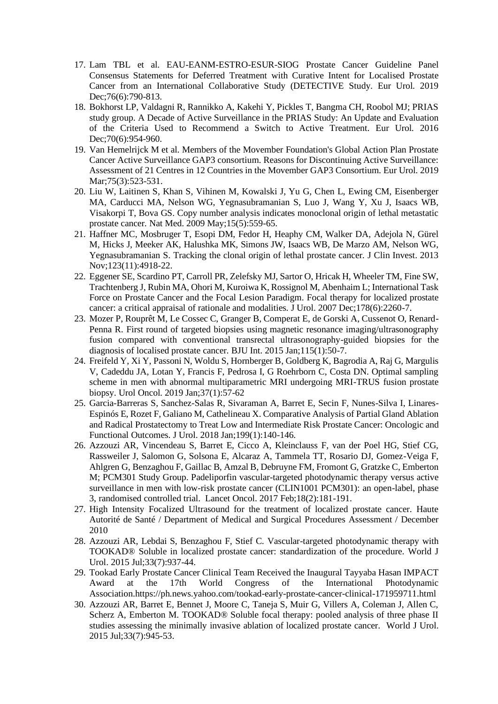- 17. Lam TBL et al. EAU-EANM-ESTRO-ESUR-SIOG Prostate Cancer Guideline Panel Consensus Statements for Deferred Treatment with Curative Intent for Localised Prostate Cancer from an International Collaborative Study (DETECTIVE Study. Eur Urol. 2019 Dec;76(6):790-813.
- 18. Bokhorst LP, Valdagni R, Rannikko A, Kakehi Y, Pickles T, Bangma CH, Roobol MJ; PRIAS study group. A Decade of Active Surveillance in the PRIAS Study: An Update and Evaluation of the Criteria Used to Recommend a Switch to Active Treatment. Eur Urol. 2016 Dec: 70(6): 954-960.
- 19. Van Hemelrijck M et al. Members of the Movember Foundation's Global Action Plan Prostate Cancer Active Surveillance GAP3 consortium. Reasons for Discontinuing Active Surveillance: Assessment of 21 Centres in 12 Countries in the Movember GAP3 Consortium. Eur Urol. 2019 Mar: 75(3): 523-531.
- 20. Liu W, Laitinen S, Khan S, Vihinen M, Kowalski J, Yu G, Chen L, Ewing CM, Eisenberger MA, Carducci MA, Nelson WG, Yegnasubramanian S, Luo J, Wang Y, Xu J, Isaacs WB, Visakorpi T, Bova GS. Copy number analysis indicates monoclonal origin of lethal metastatic prostate cancer. Nat Med. 2009 May;15(5):559-65.
- 21. Haffner MC, Mosbruger T, Esopi DM, Fedor H, Heaphy CM, Walker DA, Adejola N, Gürel M, Hicks J, Meeker AK, Halushka MK, Simons JW, Isaacs WB, De Marzo AM, Nelson WG, Yegnasubramanian S. Tracking the clonal origin of lethal prostate cancer. J Clin Invest. 2013 Nov;123(11):4918-22.
- 22. Eggener SE, Scardino PT, Carroll PR, Zelefsky MJ, Sartor O, Hricak H, Wheeler TM, Fine SW, Trachtenberg J, Rubin MA, Ohori M, Kuroiwa K, Rossignol M, Abenhaim L; International Task Force on Prostate Cancer and the Focal Lesion Paradigm. Focal therapy for localized prostate cancer: a critical appraisal of rationale and modalities. J Urol. 2007 Dec;178(6):2260-7.
- 23. Mozer P, Rouprêt M, Le Cossec C, Granger B, Comperat E, de Gorski A, Cussenot O, Renard-Penna R. First round of targeted biopsies using magnetic resonance imaging/ultrasonography fusion compared with conventional transrectal ultrasonography-guided biopsies for the diagnosis of localised prostate cancer. BJU Int. 2015 Jan;115(1):50-7.
- 24. Freifeld Y, Xi Y, Passoni N, Woldu S, Hornberger B, Goldberg K, Bagrodia A, Raj G, Margulis V, Cadeddu JA, Lotan Y, Francis F, Pedrosa I, G Roehrborn C, Costa DN. Optimal sampling scheme in men with abnormal multiparametric MRI undergoing MRI-TRUS fusion prostate biopsy. Urol Oncol. 2019 Jan;37(1):57-62
- 25. Garcia-Barreras S, Sanchez-Salas R, Sivaraman A, Barret E, Secin F, Nunes-Silva I, Linares-Espinós E, Rozet F, Galiano M, Cathelineau X. Comparative Analysis of Partial Gland Ablation and Radical Prostatectomy to Treat Low and Intermediate Risk Prostate Cancer: Oncologic and Functional Outcomes. J Urol. 2018 Jan;199(1):140-146.
- 26. Azzouzi AR, Vincendeau S, Barret E, Cicco A, Kleinclauss F, van der Poel HG, Stief CG, Rassweiler J, Salomon G, Solsona E, Alcaraz A, Tammela TT, Rosario DJ, Gomez-Veiga F, Ahlgren G, Benzaghou F, Gaillac B, Amzal B, Debruyne FM, Fromont G, Gratzke C, Emberton M; PCM301 Study Group. [Padeliporfin vascular-targeted photodynamic therapy versus active](https://pubmed.ncbi.nlm.nih.gov/28007457/)  [surveillance in men with low-risk prostate cancer \(CLIN1001 PCM301\): an open-label, phase](https://pubmed.ncbi.nlm.nih.gov/28007457/)  [3, randomised controlled trial.](https://pubmed.ncbi.nlm.nih.gov/28007457/) Lancet Oncol. 2017 Feb;18(2):181-191.
- 27. High Intensity Focalized Ultrasound for the treatment of localized prostate cancer. Haute Autorité de Santé / Department of Medical and Surgical Procedures Assessment / December 2010
- 28. Azzouzi AR, Lebdai S, Benzaghou F, Stief C. Vascular-targeted photodynamic therapy with TOOKAD® Soluble in localized prostate cancer: standardization of the procedure. World J Urol. 2015 Jul;33(7):937-44.
- 29. Tookad Early Prostate Cancer Clinical Team Received the Inaugural Tayyaba Hasan IMPACT Award at the 17th World Congress of the International Photodynamic Association.https://ph.news.yahoo.com/tookad-early-prostate-cancer-clinical-171959711.html
- 30. Azzouzi AR, Barret E, Bennet J, Moore C, Taneja S, Muir G, Villers A, Coleman J, Allen C, Scherz A, Emberton M. TOOKAD® Soluble focal therapy: pooled analysis of three phase II studies assessing the minimally invasive ablation of localized prostate cancer. World J Urol. 2015 Jul;33(7):945-53.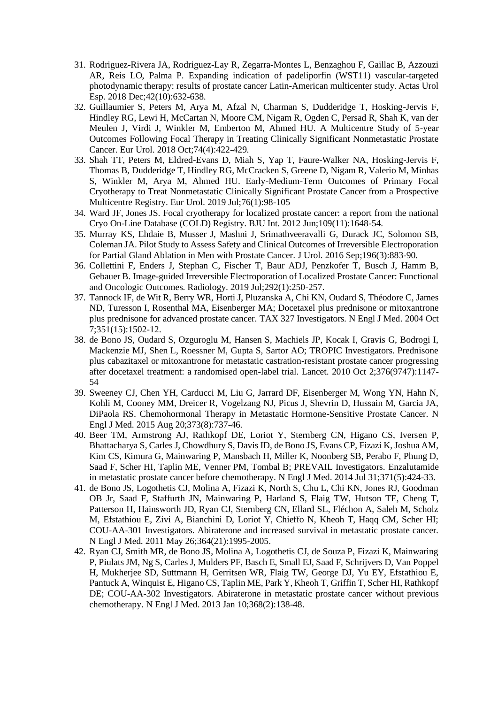- 31. Rodriguez-Rivera JA, Rodriguez-Lay R, Zegarra-Montes L, Benzaghou F, Gaillac B, Azzouzi AR, Reis LO, Palma P. Expanding indication of padeliporfin (WST11) vascular-targeted photodynamic therapy: results of prostate cancer Latin-American multicenter study. Actas Urol Esp. 2018 Dec;42(10):632-638.
- 32. Guillaumier S, Peters M, Arya M, Afzal N, Charman S, Dudderidge T, Hosking-Jervis F, Hindley RG, Lewi H, McCartan N, Moore CM, Nigam R, Ogden C, Persad R, Shah K, van der Meulen J, Virdi J, Winkler M, Emberton M, Ahmed HU. A Multicentre Study of 5-year Outcomes Following Focal Therapy in Treating Clinically Significant Nonmetastatic Prostate Cancer. Eur Urol. 2018 Oct;74(4):422-429.
- 33. Shah TT, Peters M, Eldred-Evans D, Miah S, Yap T, Faure-Walker NA, Hosking-Jervis F, Thomas B, Dudderidge T, Hindley RG, McCracken S, Greene D, Nigam R, Valerio M, Minhas S, Winkler M, Arya M, Ahmed HU. Early-Medium-Term Outcomes of Primary Focal Cryotherapy to Treat Nonmetastatic Clinically Significant Prostate Cancer from a Prospective Multicentre Registry. Eur Urol. 2019 Jul;76(1):98-105
- 34. Ward JF, Jones JS. Focal cryotherapy for localized prostate cancer: a report from the national Cryo On-Line Database (COLD) Registry. BJU Int. 2012 Jun;109(11):1648-54.
- 35. Murray KS, Ehdaie B, Musser J, Mashni J, Srimathveeravalli G, Durack JC, Solomon SB, Coleman JA. Pilot Study to Assess Safety and Clinical Outcomes of Irreversible Electroporation for Partial Gland Ablation in Men with Prostate Cancer. J Urol. 2016 Sep;196(3):883-90.
- 36. Collettini F, Enders J, Stephan C, Fischer T, Baur ADJ, Penzkofer T, Busch J, Hamm B, Gebauer B. Image-guided Irreversible Electroporation of Localized Prostate Cancer: Functional and Oncologic Outcomes. Radiology. 2019 Jul;292(1):250-257.
- 37. Tannock IF, de Wit R, Berry WR, Horti J, Pluzanska A, Chi KN, Oudard S, Théodore C, James ND, Turesson I, Rosenthal MA, Eisenberger MA; Docetaxel plus prednisone or mitoxantrone plus prednisone for advanced prostate cancer. TAX 327 Investigators. N Engl J Med. 2004 Oct 7;351(15):1502-12.
- 38. de Bono JS, Oudard S, Ozguroglu M, Hansen S, Machiels JP, Kocak I, Gravis G, Bodrogi I, Mackenzie MJ, Shen L, Roessner M, Gupta S, Sartor AO; TROPIC Investigators. Prednisone plus cabazitaxel or mitoxantrone for metastatic castration-resistant prostate cancer progressing after docetaxel treatment: a randomised open-label trial. Lancet. 2010 Oct 2;376(9747):1147- 54
- 39. Sweeney CJ, Chen YH, Carducci M, Liu G, Jarrard DF, Eisenberger M, Wong YN, Hahn N, Kohli M, Cooney MM, Dreicer R, Vogelzang NJ, Picus J, Shevrin D, Hussain M, Garcia JA, DiPaola RS. Chemohormonal Therapy in Metastatic Hormone-Sensitive Prostate Cancer. N Engl J Med. 2015 Aug 20;373(8):737-46.
- 40. Beer TM, Armstrong AJ, Rathkopf DE, Loriot Y, Sternberg CN, Higano CS, Iversen P, Bhattacharya S, Carles J, Chowdhury S, Davis ID, de Bono JS, Evans CP, Fizazi K, Joshua AM, Kim CS, Kimura G, Mainwaring P, Mansbach H, Miller K, Noonberg SB, Perabo F, Phung D, Saad F, Scher HI, Taplin ME, Venner PM, Tombal B; PREVAIL Investigators. Enzalutamide in metastatic prostate cancer before chemotherapy. N Engl J Med. 2014 Jul 31;371(5):424-33.
- 41. de Bono JS, Logothetis CJ, Molina A, Fizazi K, North S, Chu L, Chi KN, Jones RJ, Goodman OB Jr, Saad F, Staffurth JN, Mainwaring P, Harland S, Flaig TW, Hutson TE, Cheng T, Patterson H, Hainsworth JD, Ryan CJ, Sternberg CN, Ellard SL, Fléchon A, Saleh M, Scholz M, Efstathiou E, Zivi A, Bianchini D, Loriot Y, Chieffo N, Kheoh T, Haqq CM, Scher HI; COU-AA-301 Investigators. Abiraterone and increased survival in metastatic prostate cancer. N Engl J Med. 2011 May 26;364(21):1995-2005.
- 42. Ryan CJ, Smith MR, de Bono JS, Molina A, Logothetis CJ, de Souza P, Fizazi K, Mainwaring P, Piulats JM, Ng S, Carles J, Mulders PF, Basch E, Small EJ, Saad F, Schrijvers D, Van Poppel H, Mukherjee SD, Suttmann H, Gerritsen WR, Flaig TW, George DJ, Yu EY, Efstathiou E, Pantuck A, Winquist E, Higano CS, Taplin ME, Park Y, Kheoh T, Griffin T, Scher HI, Rathkopf DE; COU-AA-302 Investigators. Abiraterone in metastatic prostate cancer without previous chemotherapy. N Engl J Med. 2013 Jan 10;368(2):138-48.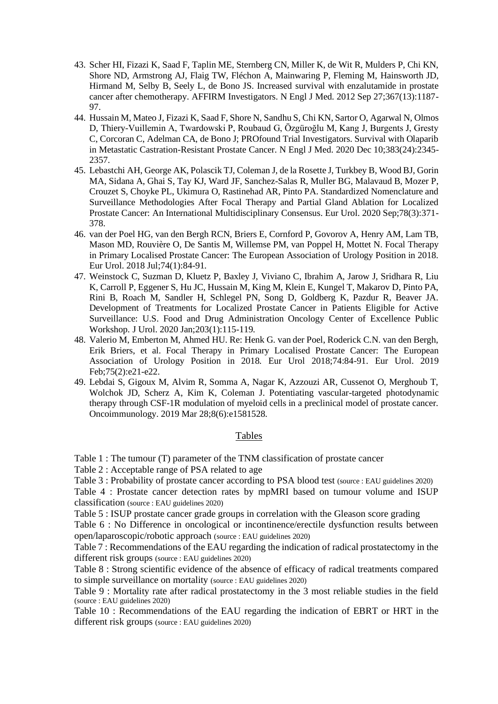- 43. Scher HI, Fizazi K, Saad F, Taplin ME, Sternberg CN, Miller K, de Wit R, Mulders P, Chi KN, Shore ND, Armstrong AJ, Flaig TW, Fléchon A, Mainwaring P, Fleming M, Hainsworth JD, Hirmand M, Selby B, Seely L, de Bono JS. Increased survival with enzalutamide in prostate cancer after chemotherapy. AFFIRM Investigators. N Engl J Med. 2012 Sep 27;367(13):1187- 97.
- 44. Hussain M, Mateo J, Fizazi K, Saad F, Shore N, Sandhu S, Chi KN, Sartor O, Agarwal N, Olmos D, Thiery-Vuillemin A, Twardowski P, Roubaud G, Özgüroğlu M, Kang J, Burgents J, Gresty C, Corcoran C, Adelman CA, de Bono J; PROfound Trial Investigators. Survival with Olaparib in Metastatic Castration-Resistant Prostate Cancer. N Engl J Med. 2020 Dec 10;383(24):2345- 2357.
- 45. Lebastchi AH, George AK, Polascik TJ, Coleman J, de la Rosette J, Turkbey B, Wood BJ, Gorin MA, Sidana A, Ghai S, Tay KJ, Ward JF, Sanchez-Salas R, Muller BG, Malavaud B, Mozer P, Crouzet S, Choyke PL, Ukimura O, Rastinehad AR, Pinto PA. Standardized Nomenclature and Surveillance Methodologies After Focal Therapy and Partial Gland Ablation for Localized Prostate Cancer: An International Multidisciplinary Consensus. Eur Urol. 2020 Sep;78(3):371- 378.
- 46. van der Poel HG, van den Bergh RCN, Briers E, Cornford P, Govorov A, Henry AM, Lam TB, Mason MD, Rouvière O, De Santis M, Willemse PM, van Poppel H, Mottet N. Focal Therapy in Primary Localised Prostate Cancer: The European Association of Urology Position in 2018. Eur Urol. 2018 Jul;74(1):84-91.
- 47. Weinstock C, Suzman D, Kluetz P, Baxley J, Viviano C, Ibrahim A, Jarow J, Sridhara R, Liu K, Carroll P, Eggener S, Hu JC, Hussain M, King M, Klein E, Kungel T, Makarov D, Pinto PA, Rini B, Roach M, Sandler H, Schlegel PN, Song D, Goldberg K, Pazdur R, Beaver JA. Development of Treatments for Localized Prostate Cancer in Patients Eligible for Active Surveillance: U.S. Food and Drug Administration Oncology Center of Excellence Public Workshop. J Urol. 2020 Jan;203(1):115-119.
- 48. Valerio M, Emberton M, Ahmed HU. Re: Henk G. van der Poel, Roderick C.N. van den Bergh, Erik Briers, et al. Focal Therapy in Primary Localised Prostate Cancer: The European Association of Urology Position in 2018. Eur Urol 2018;74:84-91. Eur Urol. 2019 Feb;75(2):e21-e22.
- 49. Lebdai S, Gigoux M, Alvim R, Somma A, Nagar K, Azzouzi AR, Cussenot O, Merghoub T, Wolchok JD, Scherz A, Kim K, Coleman J. Potentiating vascular-targeted photodynamic therapy through CSF-1R modulation of myeloid cells in a preclinical model of prostate cancer. Oncoimmunology. 2019 Mar 28;8(6):e1581528.

## Tables

Table 1 : The tumour (T) parameter of the TNM classification of prostate cancer

Table 2 : Acceptable range of PSA related to age

Table 3 : Probability of prostate cancer according to PSA blood test (source : EAU guidelines 2020)

Table 4 : Prostate cancer detection rates by mpMRI based on tumour volume and ISUP classification (source : EAU guidelines 2020)

Table 5 : ISUP prostate cancer grade groups in correlation with the Gleason score grading

Table 6 : No Difference in oncological or incontinence/erectile dysfunction results between open/laparoscopic/robotic approach (source : EAU guidelines 2020)

Table 7 : Recommendations of the EAU regarding the indication of radical prostatectomy in the different risk groups (source : EAU guidelines 2020)

Table 8 : Strong scientific evidence of the absence of efficacy of radical treatments compared to simple surveillance on mortality (source : EAU guidelines 2020)

Table 9 : Mortality rate after radical prostatectomy in the 3 most reliable studies in the field (source : EAU guidelines 2020)

Table 10 : Recommendations of the EAU regarding the indication of EBRT or HRT in the different risk groups (source : EAU guidelines 2020)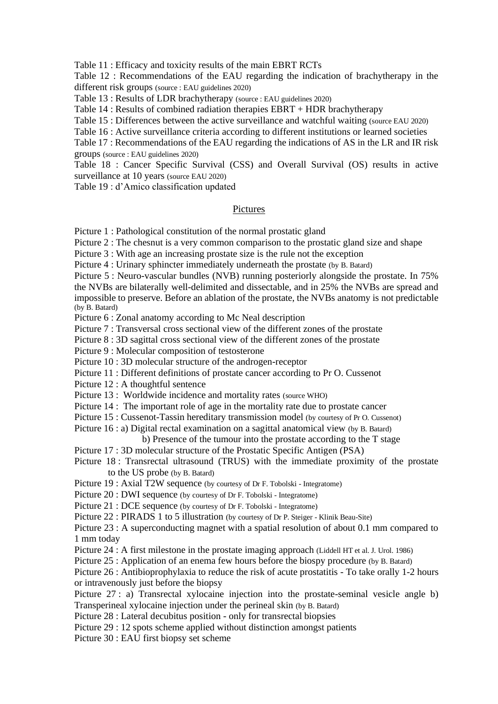Table 11 : Efficacy and toxicity results of the main EBRT RCTs

Table 12 : Recommendations of the EAU regarding the indication of brachytherapy in the different risk groups (source : EAU guidelines 2020)

Table 13 : Results of LDR brachytherapy (source : EAU guidelines 2020)

Table 14 : Results of combined radiation therapies EBRT + HDR brachytherapy

Table 15 : Differences between the active surveillance and watchful waiting (source EAU 2020)

Table 16 : Active surveillance criteria according to different institutions or learned societies

Table 17 : Recommendations of the EAU regarding the indications of AS in the LR and IR risk groups (source : EAU guidelines 2020)

Table 18 : Cancer Specific Survival (CSS) and Overall Survival (OS) results in active surveillance at 10 years (source EAU 2020)

Table 19 : d'Amico classification updated

### Pictures

Picture 1 : Pathological constitution of the normal prostatic gland

Picture 2 : The chesnut is a very common comparison to the prostatic gland size and shape

Picture 3 : With age an increasing prostate size is the rule not the exception

Picture 4 : Urinary sphincter immediately underneath the prostate (by B. Batard)

Picture 5 : Neuro-vascular bundles (NVB) running posteriorly alongside the prostate. In 75% the NVBs are bilaterally well-delimited and dissectable, and in 25% the NVBs are spread and impossible to preserve. Before an ablation of the prostate, the NVBs anatomy is not predictable (by B. Batard)

Picture 6 : Zonal anatomy according to Mc Neal description

Picture 7 : Transversal cross sectional view of the different zones of the prostate

Picture 8 : 3D sagittal cross sectional view of the different zones of the prostate

Picture 9 : Molecular composition of testosterone

Picture 10 : 3D molecular structure of the androgen-receptor

Picture 11 : Different definitions of prostate cancer according to Pr O. Cussenot

Picture 12 : A thoughtful sentence

Picture 13 : Worldwide incidence and mortality rates (source WHO)

Picture 14 : The important role of age in the mortality rate due to prostate cancer

Picture 15 : Cussenot-Tassin hereditary transmission model (by courtesy of Pr O. Cussenot)

Picture 16 : a) Digital rectal examination on a sagittal anatomical view (by B. Batard)

b) Presence of the tumour into the prostate according to the T stage

Picture 17 : 3D molecular structure of the Prostatic Specific Antigen (PSA)

Picture 18 : Transrectal ultrasound (TRUS) with the immediate proximity of the prostate to the US probe (by B. Batard)

Picture 19 : Axial T2W sequence (by courtesy of Dr F. Tobolski - Integratome)

Picture 20 : DWI sequence (by courtesy of Dr F. Tobolski - Integratome)

Picture 21 : DCE sequence (by courtesy of Dr F. Tobolski - Integratome)

Picture 22 : PIRADS 1 to 5 illustration (by courtesy of Dr P. Steiger - Klinik Beau-Site)

Picture 23 : A superconducting magnet with a spatial resolution of about 0.1 mm compared to 1 mm today

Picture 24 : A first milestone in the prostate imaging approach (Liddell HT et al. J. Urol. 1986)

Picture 25 : Application of an enema few hours before the biospy procedure (by B. Batard)

Picture 26 : Antibioprophylaxia to reduce the risk of acute prostatitis - To take orally 1-2 hours or intravenously just before the biopsy

Picture 27 : a) Transrectal xylocaine injection into the prostate-seminal vesicle angle b) Transperineal xylocaine injection under the perineal skin (by B. Batard)

Picture 28 : Lateral decubitus position - only for transrectal biopsies

Picture 29 : 12 spots scheme applied without distinction amongst patients

Picture 30 : EAU first biopsy set scheme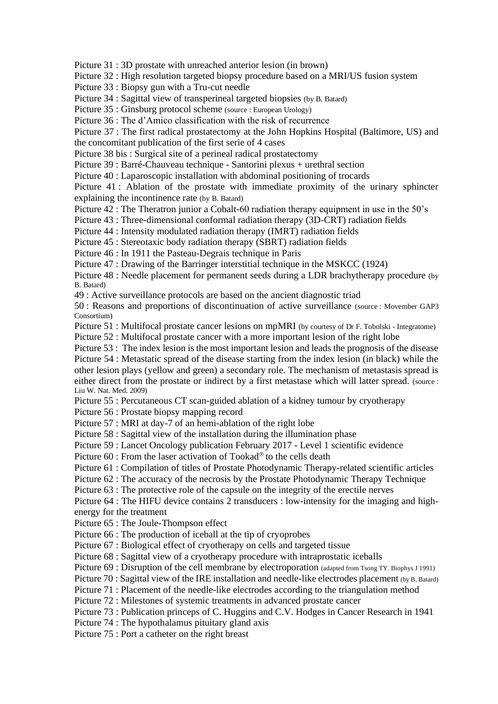Picture 31 : 3D prostate with unreached anterior lesion (in brown)

Picture 32 : High resolution targeted biopsy procedure based on a MRI/US fusion system

Picture 33 : Biopsy gun with a Tru-cut needle

Picture 34 : Sagittal view of transperineal targeted biopsies (by B. Batard)

Picture 35 : Ginsburg protocol scheme (source : European Urology)

Picture 36 : The d'Amico classification with the risk of recurrence

Picture 37 : The first radical prostatectomy at the John Hopkins Hospital (Baltimore, US) and the concomitant publication of the first serie of 4 cases

Picture 38 bis : Surgical site of a perineal radical prostatectomy

Picture 39 : Barré-Chauveau technique - Santorini plexus + urethral section

Picture 40 : Laparoscopic installation with abdominal positioning of trocards

Picture 41 : Ablation of the prostate with immediate proximity of the urinary sphincter explaining the incontinence rate (by B. Batard)

Picture 42 : The Theratron junior a Cobalt-60 radiation therapy equipment in use in the 50's

Picture 43 : Three-dimensional conformal radiation therapy (3D-CRT) radiation fields

Picture 44 : Intensity modulated radiation therapy (IMRT) radiation fields

Picture 45 : Stereotaxic body radiation therapy (SBRT) radiation fields

Picture 46 : In 1911 the Pasteau-Degrais technique in Paris

Picture 47 : Drawing of the Barringer interstitial technique in the MSKCC (1924)

Picture 48 : Needle placement for permanent seeds during a LDR brachytherapy procedure (by B. Batard)

49 : Active surveillance protocols are based on the ancient diagnostic triad

50 : Reasons and proportions of discontinuation of active surveillance (source : Movember GAP3 Consortium)

Picture 51 : Multifocal prostate cancer lesions on mpMRI (by courtesy of Dr F. Tobolski - Integratome)

Picture 52 : Multifocal prostate cancer with a more important lesion of the right lobe

Picture 53 : The index lesion is the most important lesion and leads the prognosis of the disease Picture 54 : Metastatic spread of the disease starting from the index lesion (in black) while the other lesion plays (yellow and green) a secondary role. The mechanism of metastasis spread is either direct from the prostate or indirect by a first metastase which will latter spread. (source : Liu W. Nat. Med. 2009)

Picture 55 : Percutaneous CT scan-guided ablation of a kidney tumour by cryotherapy

Picture 56 : Prostate biopsy mapping record

Picture 57 : MRI at day-7 of an hemi-ablation of the right lobe

Picture 58 : Sagittal view of the installation during the illumination phase

Picture 59 : Lancet Oncology publication February 2017 - Level 1 scientific evidence

Picture  $60$ : From the laser activation of Tookad® to the cells death

Picture 61 : Compilation of titles of Prostate Photodynamic Therapy-related scientific articles

Picture 62 : The accuracy of the necrosis by the Prostate Photodynamic Therapy Technique

Picture 63 : The protective role of the capsule on the integrity of the erectile nerves

Picture 64 : The HIFU device contains 2 transducers : low-intensity for the imaging and highenergy for the treatment

Picture 65 : The Joule-Thompson effect

Picture 66 : The production of iceball at the tip of cryoprobes

Picture 67 : Biological effect of cryotherapy on cells and targeted tissue

Picture 68 : Sagittal view of a cryotherapy procedure with intraprostatic iceballs

Picture 69 : Disruption of the cell membrane by electroporation (adapted from Tsong TY. Biophys J 1991)

Picture 70 : Sagittal view of the IRE installation and needle-like electrodes placement (by B. Batard)

Picture 71 : Placement of the needle-like electrodes according to the triangulation method

Picture 72 : Milestones of systemic treatments in advanced prostate cancer

Picture 73 : Publication princeps of C. Huggins and C.V. Hodges in Cancer Research in 1941

Picture 74 : The hypothalamus pituitary gland axis

Picture 75 : Port a catheter on the right breast